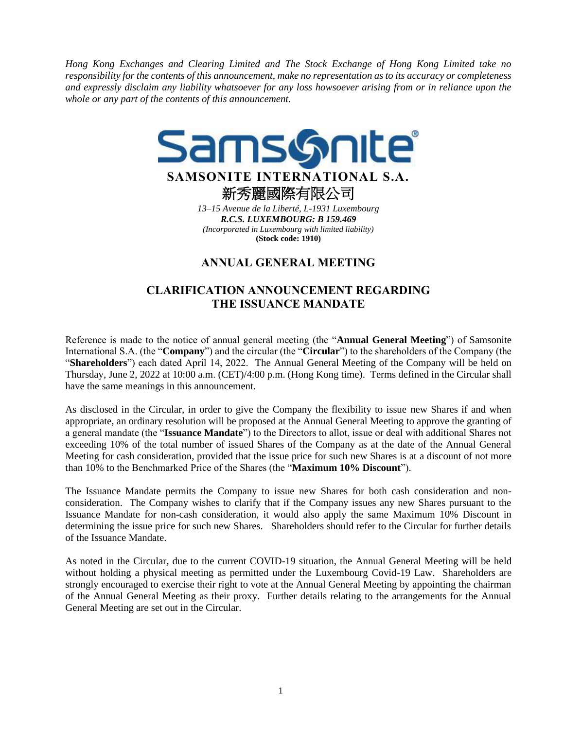*Hong Kong Exchanges and Clearing Limited and The Stock Exchange of Hong Kong Limited take no responsibility for the contents of this announcement, make no representation as to its accuracy or completeness and expressly disclaim any liability whatsoever for any loss howsoever arising from or in reliance upon the whole or any part of the contents of this announcement.*



*13–15 Avenue de la Liberté, L-1931 Luxembourg R.C.S. LUXEMBOURG: B 159.469 (Incorporated in Luxembourg with limited liability)* **(Stock code: 1910)**

## **ANNUAL GENERAL MEETING**

## **CLARIFICATION ANNOUNCEMENT REGARDING THE ISSUANCE MANDATE**

Reference is made to the notice of annual general meeting (the "**Annual General Meeting**") of Samsonite International S.A. (the "**Company**") and the circular (the "**Circular**") to the shareholders of the Company (the "**Shareholders**") each dated April 14, 2022. The Annual General Meeting of the Company will be held on Thursday, June 2, 2022 at 10:00 a.m. (CET)/4:00 p.m. (Hong Kong time). Terms defined in the Circular shall have the same meanings in this announcement.

As disclosed in the Circular, in order to give the Company the flexibility to issue new Shares if and when appropriate, an ordinary resolution will be proposed at the Annual General Meeting to approve the granting of a general mandate (the "**Issuance Mandate**") to the Directors to allot, issue or deal with additional Shares not exceeding 10% of the total number of issued Shares of the Company as at the date of the Annual General Meeting for cash consideration, provided that the issue price for such new Shares is at a discount of not more than 10% to the Benchmarked Price of the Shares (the "**Maximum 10% Discount**").

The Issuance Mandate permits the Company to issue new Shares for both cash consideration and nonconsideration. The Company wishes to clarify that if the Company issues any new Shares pursuant to the Issuance Mandate for non-cash consideration, it would also apply the same Maximum 10% Discount in determining the issue price for such new Shares. Shareholders should refer to the Circular for further details of the Issuance Mandate.

As noted in the Circular, due to the current COVID-19 situation, the Annual General Meeting will be held without holding a physical meeting as permitted under the Luxembourg Covid-19 Law. Shareholders are strongly encouraged to exercise their right to vote at the Annual General Meeting by appointing the chairman of the Annual General Meeting as their proxy. Further details relating to the arrangements for the Annual General Meeting are set out in the Circular.